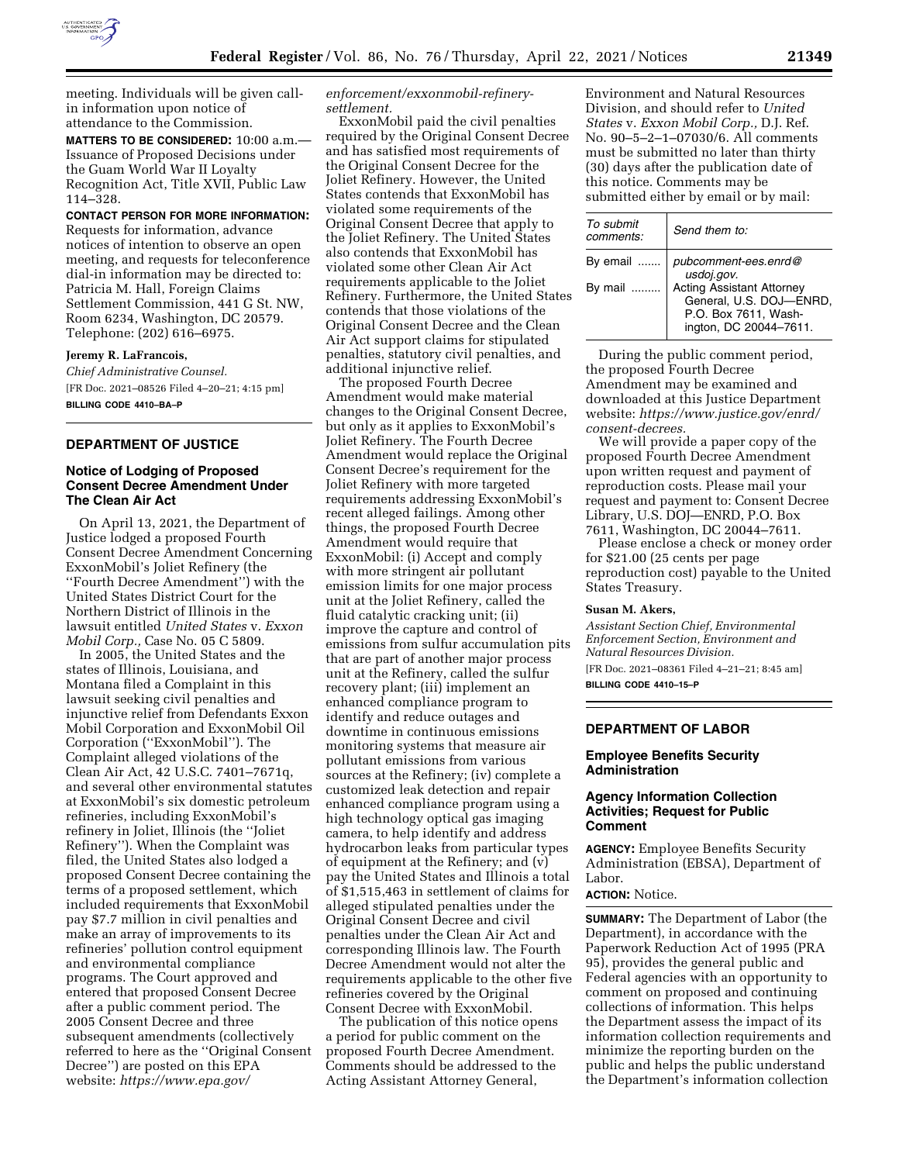

meeting. Individuals will be given callin information upon notice of attendance to the Commission.

**MATTERS TO BE CONSIDERED:** 10:00 a.m.— Issuance of Proposed Decisions under the Guam World War II Loyalty Recognition Act, Title XVII, Public Law 114–328.

**CONTACT PERSON FOR MORE INFORMATION:**  Requests for information, advance notices of intention to observe an open meeting, and requests for teleconference dial-in information may be directed to: Patricia M. Hall, Foreign Claims Settlement Commission, 441 G St. NW, Room 6234, Washington, DC 20579. Telephone: (202) 616–6975.

**Jeremy R. LaFrancois,**  *Chief Administrative Counsel.*  [FR Doc. 2021–08526 Filed 4–20–21; 4:15 pm] **BILLING CODE 4410–BA–P** 

## **DEPARTMENT OF JUSTICE**

## **Notice of Lodging of Proposed Consent Decree Amendment Under The Clean Air Act**

On April 13, 2021, the Department of Justice lodged a proposed Fourth Consent Decree Amendment Concerning ExxonMobil's Joliet Refinery (the ''Fourth Decree Amendment'') with the United States District Court for the Northern District of Illinois in the lawsuit entitled *United States* v. *Exxon Mobil Corp.,* Case No. 05 C 5809.

In 2005, the United States and the states of Illinois, Louisiana, and Montana filed a Complaint in this lawsuit seeking civil penalties and injunctive relief from Defendants Exxon Mobil Corporation and ExxonMobil Oil Corporation (''ExxonMobil''). The Complaint alleged violations of the Clean Air Act, 42 U.S.C. 7401–7671q, and several other environmental statutes at ExxonMobil's six domestic petroleum refineries, including ExxonMobil's refinery in Joliet, Illinois (the ''Joliet Refinery''). When the Complaint was filed, the United States also lodged a proposed Consent Decree containing the terms of a proposed settlement, which included requirements that ExxonMobil pay \$7.7 million in civil penalties and make an array of improvements to its refineries' pollution control equipment and environmental compliance programs. The Court approved and entered that proposed Consent Decree after a public comment period. The 2005 Consent Decree and three subsequent amendments (collectively referred to here as the ''Original Consent Decree'') are posted on this EPA website: *[https://www.epa.gov/](https://www.epa.gov/enforcement/exxonmobil-refinery-settlement)* 

*[enforcement/exxonmobil-refinery](https://www.epa.gov/enforcement/exxonmobil-refinery-settlement)[settlement.](https://www.epa.gov/enforcement/exxonmobil-refinery-settlement)* 

ExxonMobil paid the civil penalties required by the Original Consent Decree and has satisfied most requirements of the Original Consent Decree for the Joliet Refinery. However, the United States contends that ExxonMobil has violated some requirements of the Original Consent Decree that apply to the Joliet Refinery. The United States also contends that ExxonMobil has violated some other Clean Air Act requirements applicable to the Joliet Refinery. Furthermore, the United States contends that those violations of the Original Consent Decree and the Clean Air Act support claims for stipulated penalties, statutory civil penalties, and additional injunctive relief.

The proposed Fourth Decree Amendment would make material changes to the Original Consent Decree, but only as it applies to ExxonMobil's Joliet Refinery. The Fourth Decree Amendment would replace the Original Consent Decree's requirement for the Joliet Refinery with more targeted requirements addressing ExxonMobil's recent alleged failings. Among other things, the proposed Fourth Decree Amendment would require that ExxonMobil: (i) Accept and comply with more stringent air pollutant emission limits for one major process unit at the Joliet Refinery, called the fluid catalytic cracking unit; (ii) improve the capture and control of emissions from sulfur accumulation pits that are part of another major process unit at the Refinery, called the sulfur recovery plant; (iii) implement an enhanced compliance program to identify and reduce outages and downtime in continuous emissions monitoring systems that measure air pollutant emissions from various sources at the Refinery; (iv) complete a customized leak detection and repair enhanced compliance program using a high technology optical gas imaging camera, to help identify and address hydrocarbon leaks from particular types of equipment at the Refinery; and (v) pay the United States and Illinois a total of \$1,515,463 in settlement of claims for alleged stipulated penalties under the Original Consent Decree and civil penalties under the Clean Air Act and corresponding Illinois law. The Fourth Decree Amendment would not alter the requirements applicable to the other five refineries covered by the Original Consent Decree with ExxonMobil.

The publication of this notice opens a period for public comment on the proposed Fourth Decree Amendment. Comments should be addressed to the Acting Assistant Attorney General,

Environment and Natural Resources Division, and should refer to *United States* v. *Exxon Mobil Corp.,* D.J. Ref. No. 90–5–2–1–07030/6. All comments must be submitted no later than thirty (30) days after the publication date of this notice. Comments may be submitted either by email or by mail:

| To submit<br>comments: | Send them to:                                                                                                 |
|------------------------|---------------------------------------------------------------------------------------------------------------|
| By email               | pubcomment-ees.enrd@<br>usdoj.gov.                                                                            |
| By mail                | <b>Acting Assistant Attorney</b><br>General, U.S. DOJ-ENRD,<br>P.O. Box 7611, Wash-<br>ington, DC 20044-7611. |

During the public comment period, the proposed Fourth Decree Amendment may be examined and downloaded at this Justice Department website: *[https://www.justice.gov/enrd/](https://www.justice.gov/enrd/consent-decrees) [consent-decrees.](https://www.justice.gov/enrd/consent-decrees)* 

We will provide a paper copy of the proposed Fourth Decree Amendment upon written request and payment of reproduction costs. Please mail your request and payment to: Consent Decree Library, U.S. DOJ—ENRD, P.O. Box 7611, Washington, DC 20044–7611.

Please enclose a check or money order for \$21.00 (25 cents per page reproduction cost) payable to the United States Treasury.

#### **Susan M. Akers,**

*Assistant Section Chief, Environmental Enforcement Section, Environment and Natural Resources Division.* 

[FR Doc. 2021–08361 Filed 4–21–21; 8:45 am] **BILLING CODE 4410–15–P** 

# **DEPARTMENT OF LABOR**

## **Employee Benefits Security Administration**

## **Agency Information Collection Activities; Request for Public Comment**

**AGENCY:** Employee Benefits Security Administration (EBSA), Department of Labor.

**ACTION:** Notice.

**SUMMARY:** The Department of Labor (the Department), in accordance with the Paperwork Reduction Act of 1995 (PRA 95), provides the general public and Federal agencies with an opportunity to comment on proposed and continuing collections of information. This helps the Department assess the impact of its information collection requirements and minimize the reporting burden on the public and helps the public understand the Department's information collection